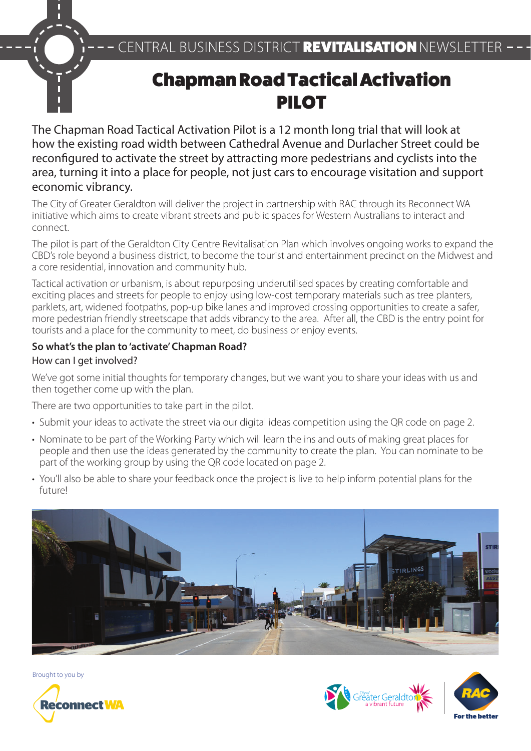# Chapman Road Tactical Activation PILOT

The Chapman Road Tactical Activation Pilot is a 12 month long trial that will look at how the existing road width between Cathedral Avenue and Durlacher Street could be reconfigured to activate the street by attracting more pedestrians and cyclists into the area, turning it into a place for people, not just cars to encourage visitation and support economic vibrancy.

The City of Greater Geraldton will deliver the project in partnership with RAC through its Reconnect WA initiative which aims to create vibrant streets and public spaces for Western Australians to interact and connect.

The pilot is part of the Geraldton City Centre Revitalisation Plan which involves ongoing works to expand the CBD's role beyond a business district, to become the tourist and entertainment precinct on the Midwest and a core residential, innovation and community hub.

Tactical activation or urbanism, is about repurposing underutilised spaces by creating comfortable and exciting places and streets for people to enjoy using low-cost temporary materials such as tree planters, parklets, art, widened footpaths, pop-up bike lanes and improved crossing opportunities to create a safer, more pedestrian friendly streetscape that adds vibrancy to the area. After all, the CBD is the entry point for tourists and a place for the community to meet, do business or enjoy events.

### **So what's the plan to 'activate' Chapman Road?**

### How can I get involved?

г

We've got some initial thoughts for temporary changes, but we want you to share your ideas with us and then together come up with the plan.

There are two opportunities to take part in the pilot.

- Submit your ideas to activate the street via our digital ideas competition using the QR code on page 2.
- Nominate to be part of the Working Party which will learn the ins and outs of making great places for people and then use the ideas generated by the community to create the plan. You can nominate to be part of the working group by using the QR code located on page 2.
- You'll also be able to share your feedback once the project is live to help inform potential plans for the future!



Brought to you by